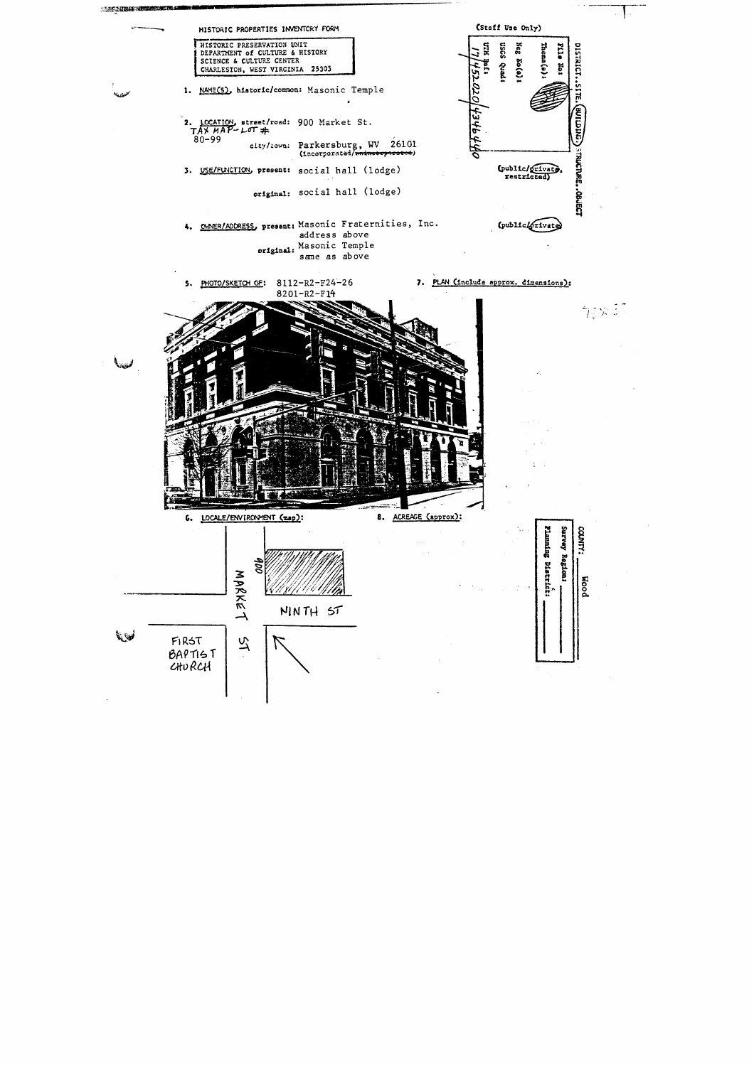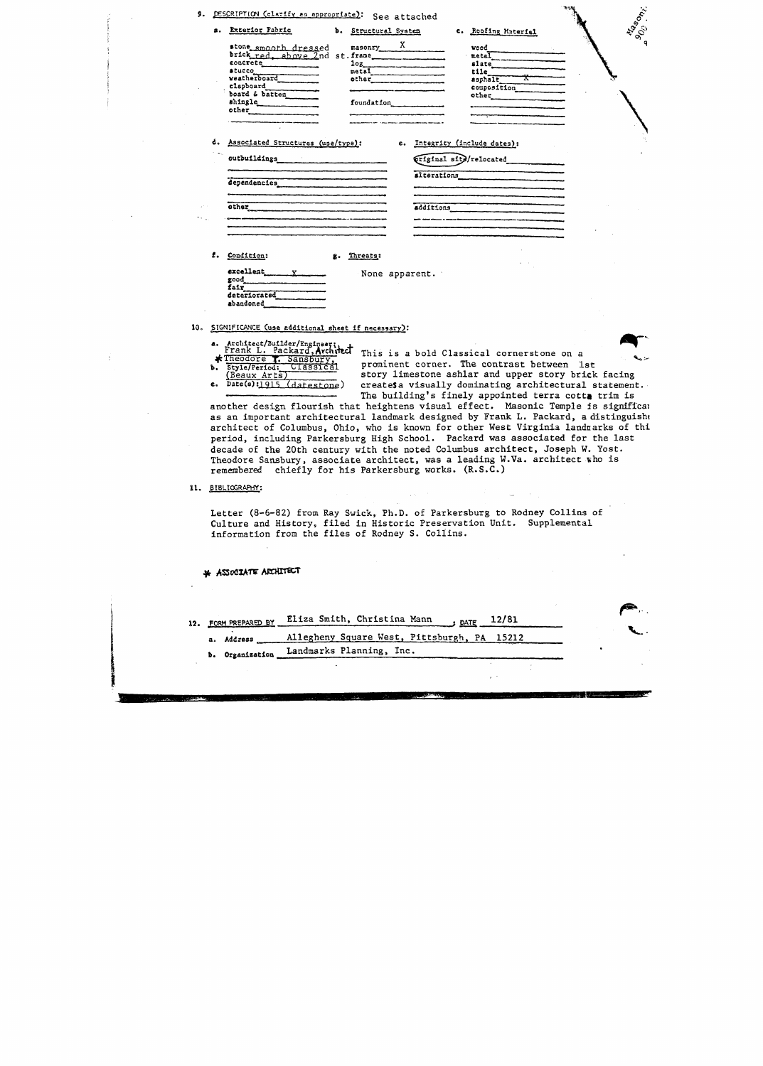|  | 9. DESCRIPTION (clarify as appropriate): See attached                                                                                                                                                                                                                                                                                                                                                                                                                                                                       |                                                                 |           |                                                                                                                                                                                                                                                                                                      | Magonizi                                |
|--|-----------------------------------------------------------------------------------------------------------------------------------------------------------------------------------------------------------------------------------------------------------------------------------------------------------------------------------------------------------------------------------------------------------------------------------------------------------------------------------------------------------------------------|-----------------------------------------------------------------|-----------|------------------------------------------------------------------------------------------------------------------------------------------------------------------------------------------------------------------------------------------------------------------------------------------------------|-----------------------------------------|
|  | a. Exterior Fabric                                                                                                                                                                                                                                                                                                                                                                                                                                                                                                          | b. Structural System                                            |           | c. Roofing Material                                                                                                                                                                                                                                                                                  | $s_{\!\!\mathcal{C}}^{\!\!\mathcal{S}}$ |
|  | stone smooth dressed<br>concrete <b>contracts</b><br><b>atucco</b><br>veatherboard<br>clapboard Theory<br>board & batten<br>shingle<br>other                                                                                                                                                                                                                                                                                                                                                                                | $\frac{X}{X}$<br>other<br>foundation<br><u>________________</u> |           | wood<br>$\text{metal}$<br>slate<br>tile.<br>esphale<br>composition<br>other contains the contract of the contract of the contract of the contract of the contract of the contract of the contract of the contract of the contract of the contract of the contract of the contract of the contract of |                                         |
|  | d. Associated Structures (use/type):                                                                                                                                                                                                                                                                                                                                                                                                                                                                                        |                                                                 |           | e. Integrity (include dates):<br>Triginal site/relocated<br>alterations                                                                                                                                                                                                                              |                                         |
|  | dependencies                                                                                                                                                                                                                                                                                                                                                                                                                                                                                                                |                                                                 |           |                                                                                                                                                                                                                                                                                                      |                                         |
|  |                                                                                                                                                                                                                                                                                                                                                                                                                                                                                                                             |                                                                 | additions |                                                                                                                                                                                                                                                                                                      |                                         |
|  |                                                                                                                                                                                                                                                                                                                                                                                                                                                                                                                             |                                                                 |           |                                                                                                                                                                                                                                                                                                      |                                         |
|  | f. Condition:                                                                                                                                                                                                                                                                                                                                                                                                                                                                                                               | g. Threats:                                                     |           |                                                                                                                                                                                                                                                                                                      |                                         |
|  | $\begin{array}{c}\n\textbf{excelleat} \quad \textbf{y} \quad \textbf{w} \quad \textbf{w} \quad \textbf{w} \quad \textbf{w} \quad \textbf{w} \quad \textbf{w} \quad \textbf{w} \quad \textbf{w} \quad \textbf{w} \quad \textbf{w} \quad \textbf{w} \quad \textbf{w} \quad \textbf{w} \quad \textbf{w} \quad \textbf{w} \quad \textbf{w} \quad \textbf{w} \quad \textbf{w} \quad \textbf{w} \quad \textbf{w} \quad \textbf{w} \quad \textbf{w} \quad \textbf{w} \quad \textbf{w} \quad \text$<br>good<br>fair<br>deteriorated | None apparent.                                                  |           |                                                                                                                                                                                                                                                                                                      |                                         |

10. SIGNIFICANCE (use additional sheet if necessary):

**abandoned** 

- **a.** Architect/Builder/Engineer,<br>
Frank L. Packard, Architect This is a bold Classical cornerstone on a<br>
\*Theodore T. Sansbury, a second corner The contract between
- 

**Q**<br>References prominent corner. The contrast between 1st (Beaux Arts) story limestone ashlar and upper story brick facing<br>
e. Date(s):1915 (datestone) creates a visually dominating architectural statement createsa visually dominating architectural statement. The building's finely appointed terra cotta trim is

 $\sim$ 

usan dan

**m-**

another design flourish that heightens visual effect. Masonic Temple **Is** signiffcal as an important architectural landmark designed by Frank **L.** Packard, adistinguishc architect of Columbus, Ohio, who is known for other West Virginia landnarks of thi period, including Parkersburg High School. Packard was associated for the last decade of the 20th century with the noted Columbus architect, Joseph W. Yost. Theodore Sansbury, associate architect, was a leading **W.Va.** architect ~ho is remembered chiefly for his Parkersburg works. (R.S.C.)

11. BIBLIOGRAPHY:

Letter (8-6-82) **from Ray Swick,** Ph.D. of Parkersburg to Rodney Collins of Culture and History, filed in Historic Preservation Unit. Supplemental information from the files of Rodney S. Collins.

## \* ASSOCIATE ARCHITECT

| 12. FORM PREPARED BY | Eliza Smith, Christina Mann<br>$_{\text{DATE}}$ 12/81 |  |
|----------------------|-------------------------------------------------------|--|
| a. Address           | Allegheny Square West, Pittsburgh, PA 15212           |  |
| b. Organization      | Landmarks Planning, Inc.                              |  |
|                      |                                                       |  |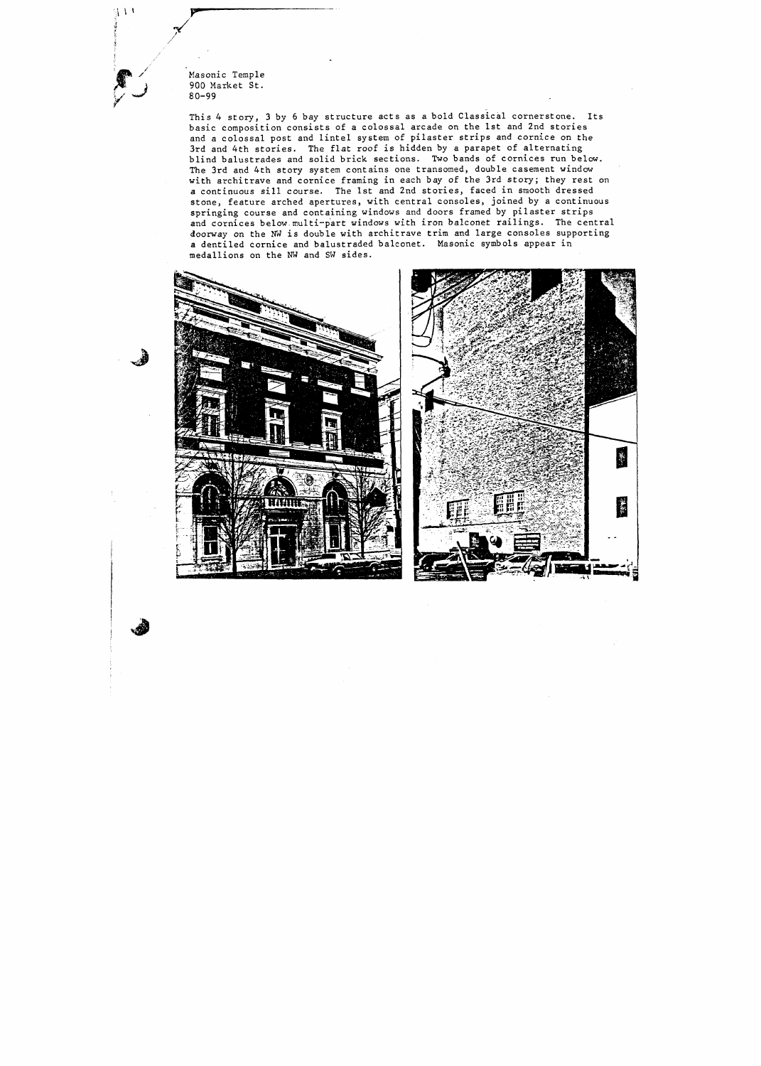

 $4.14$ 

This 4 story, 3 by 6 bay structure acts as a bold Classical cornerstone. Its basic composition consists of a colossal arcade on the 1st and 2nd stories and a colossal post and lintel system of pilaster strips and cornice on the 3rd and 4th stories. The flat roof is hidden by a parapet of alternating blind balustrades and solid brick sections. Two bands of cornices run below. The 3rd and 4th story system contains one transomed, double casement window with architrave and cornice framing in each bay of the **3rd** story; they rest on a continuous sill course. The 1st and 2nd stories, faced in smooth dressed stone, feature arched apertures, with central consoles, joined by a continuous springing course and containing windows and doors framed by pilaster strips and cornices below.multi-part windows with iron balconet railings. The central doorway on the **NW** is double with architrave trim and large consoles supporting a dentiled cornice and balustraded balconet. Masonic symbols appear in medallions on the **NW** and SW sides.